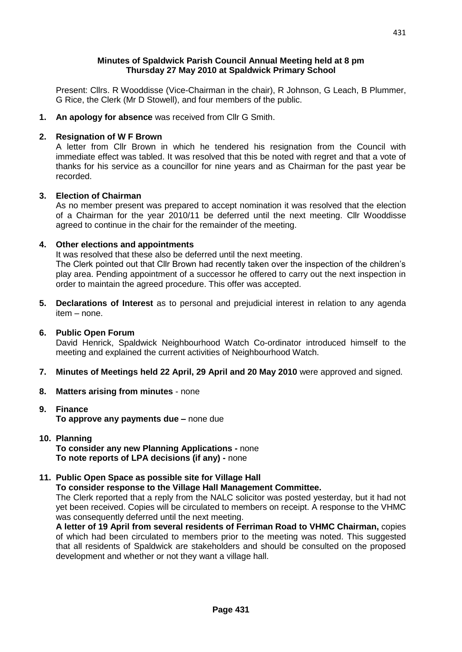## **Minutes of Spaldwick Parish Council Annual Meeting held at 8 pm Thursday 27 May 2010 at Spaldwick Primary School**

Present: Cllrs. R Wooddisse (Vice-Chairman in the chair), R Johnson, G Leach, B Plummer, G Rice, the Clerk (Mr D Stowell), and four members of the public.

**1. An apology for absence** was received from Cllr G Smith.

# **2. Resignation of W F Brown**

A letter from Cllr Brown in which he tendered his resignation from the Council with immediate effect was tabled. It was resolved that this be noted with regret and that a vote of thanks for his service as a councillor for nine years and as Chairman for the past year be recorded.

#### **3. Election of Chairman**

As no member present was prepared to accept nomination it was resolved that the election of a Chairman for the year 2010/11 be deferred until the next meeting. Cllr Wooddisse agreed to continue in the chair for the remainder of the meeting.

#### **4. Other elections and appointments**

It was resolved that these also be deferred until the next meeting.

The Clerk pointed out that Cllr Brown had recently taken over the inspection of the children's play area. Pending appointment of a successor he offered to carry out the next inspection in order to maintain the agreed procedure. This offer was accepted.

**5. Declarations of Interest** as to personal and prejudicial interest in relation to any agenda item – none.

#### **6. Public Open Forum**

David Henrick, Spaldwick Neighbourhood Watch Co-ordinator introduced himself to the meeting and explained the current activities of Neighbourhood Watch.

- **7. Minutes of Meetings held 22 April, 29 April and 20 May 2010** were approved and signed.
- **8. Matters arising from minutes** none

# **9. Finance To approve any payments due –** none due

**10. Planning To consider any new Planning Applications -** none **To note reports of LPA decisions (if any) -** none

# **11. Public Open Space as possible site for Village Hall**

**To consider response to the Village Hall Management Committee.**

The Clerk reported that a reply from the NALC solicitor was posted yesterday, but it had not yet been received. Copies will be circulated to members on receipt. A response to the VHMC was consequently deferred until the next meeting.

**A letter of 19 April from several residents of Ferriman Road to VHMC Chairman,** copies of which had been circulated to members prior to the meeting was noted. This suggested that all residents of Spaldwick are stakeholders and should be consulted on the proposed development and whether or not they want a village hall.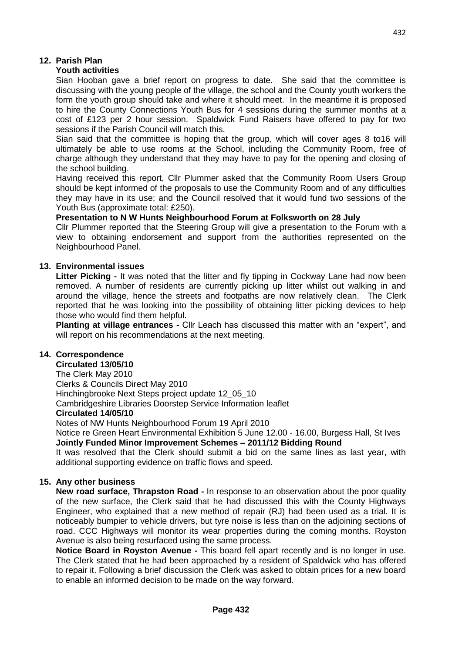# **12. Parish Plan**

## **Youth activities**

Sian Hooban gave a brief report on progress to date. She said that the committee is discussing with the young people of the village, the school and the County youth workers the form the youth group should take and where it should meet. In the meantime it is proposed to hire the County Connections Youth Bus for 4 sessions during the summer months at a cost of £123 per 2 hour session. Spaldwick Fund Raisers have offered to pay for two sessions if the Parish Council will match this.

Sian said that the committee is hoping that the group, which will cover ages 8 to16 will ultimately be able to use rooms at the School, including the Community Room, free of charge although they understand that they may have to pay for the opening and closing of the school building.

Having received this report, Cllr Plummer asked that the Community Room Users Group should be kept informed of the proposals to use the Community Room and of any difficulties they may have in its use; and the Council resolved that it would fund two sessions of the Youth Bus (approximate total: £250).

#### **Presentation to N W Hunts Neighbourhood Forum at Folksworth on 28 July**

Cllr Plummer reported that the Steering Group will give a presentation to the Forum with a view to obtaining endorsement and support from the authorities represented on the Neighbourhood Panel.

# **13. Environmental issues**

**Litter Picking -** It was noted that the litter and fly tipping in Cockway Lane had now been removed. A number of residents are currently picking up litter whilst out walking in and around the village, hence the streets and footpaths are now relatively clean. The Clerk reported that he was looking into the possibility of obtaining litter picking devices to help those who would find them helpful.

**Planting at village entrances -** Cllr Leach has discussed this matter with an "expert", and will report on his recommendations at the next meeting.

# **14. Correspondence**

# **Circulated 13/05/10**

The Clerk May 2010

Clerks & Councils Direct May 2010

Hinchingbrooke Next Steps project update 12\_05\_10

Cambridgeshire Libraries Doorstep Service Information leaflet

#### **Circulated 14/05/10**

Notes of NW Hunts Neighbourhood Forum 19 April 2010

Notice re Green Heart Environmental Exhibition 5 June 12.00 - 16.00, Burgess Hall, St Ives **Jointly Funded Minor Improvement Schemes – 2011/12 Bidding Round**

It was resolved that the Clerk should submit a bid on the same lines as last year, with additional supporting evidence on traffic flows and speed.

#### **15. Any other business**

**New road surface, Thrapston Road -** In response to an observation about the poor quality of the new surface, the Clerk said that he had discussed this with the County Highways Engineer, who explained that a new method of repair (RJ) had been used as a trial. It is noticeably bumpier to vehicle drivers, but tyre noise is less than on the adjoining sections of road. CCC Highways will monitor its wear properties during the coming months. Royston Avenue is also being resurfaced using the same process.

**Notice Board in Royston Avenue -** This board fell apart recently and is no longer in use. The Clerk stated that he had been approached by a resident of Spaldwick who has offered to repair it. Following a brief discussion the Clerk was asked to obtain prices for a new board to enable an informed decision to be made on the way forward.